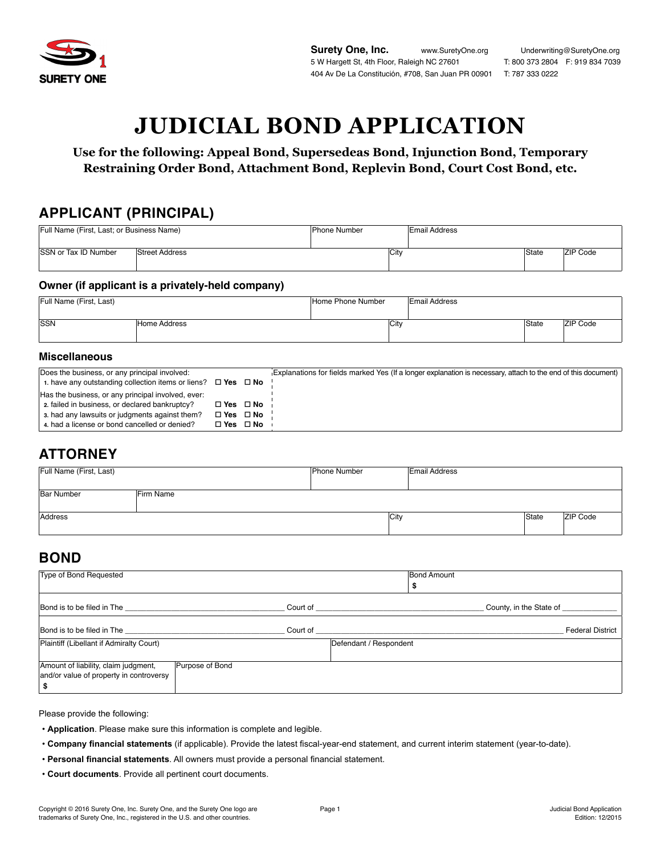

# **JUDICIAL BOND APPLICATION**

**Use for the following: Appeal Bond, Supersedeas Bond, Injunction Bond, Temporary Restraining Order Bond, Attachment Bond, Replevin Bond, Court Cost Bond, etc.**

### **APPLICANT (PRINCIPAL)**

| Full Name (First, Last; or Business Name) |                       | <b>Phone Number</b> | Email Address |       |                 |
|-------------------------------------------|-----------------------|---------------------|---------------|-------|-----------------|
|                                           |                       |                     |               |       |                 |
| <b>ISSN or Tax ID Number</b>              | <b>Street Address</b> | <b>City</b>         |               | State | <b>ZIP Code</b> |
|                                           |                       |                     |               |       |                 |

#### **Owner (if applicant is a privately-held company)**

| Full Name (First, Last) |              | Home Phone Number | <b>Email Address</b> |       |                 |
|-------------------------|--------------|-------------------|----------------------|-------|-----------------|
|                         |              |                   |                      |       |                 |
| SSN                     | Home Address | <b>City</b>       |                      | State | <b>ZIP Code</b> |
|                         |              |                   |                      |       |                 |

#### **Miscellaneous**

| Does the business, or any principal involved:<br>1. have any outstanding collection items or liens? $\Box$ Yes $\Box$ No                                                                                |                                                  | Explanations for fields marked Yes (If a longer explanation is necessary, attach to the end of this document) |
|---------------------------------------------------------------------------------------------------------------------------------------------------------------------------------------------------------|--------------------------------------------------|---------------------------------------------------------------------------------------------------------------|
| Has the business, or any principal involved, ever:<br>2. failed in business, or declared bankruptcy?<br>3. had any lawsuits or judgments against them?<br>4. had a license or bond cancelled or denied? | □ Yes □ No<br>$\Box$ Yes $\Box$ No<br>□ Yes □ No |                                                                                                               |

# **ATTORNEY**

| Full Name (First, Last) |           | Phone Number | <b>Email Address</b> |       |                 |
|-------------------------|-----------|--------------|----------------------|-------|-----------------|
| <b>Bar Number</b>       | Firm Name |              |                      |       |                 |
| Address                 |           | City         |                      | State | <b>ZIP Code</b> |

## **BOND**

| Type of Bond Requested                                                          |                 | <b>Bond Amount</b>      |                         |
|---------------------------------------------------------------------------------|-----------------|-------------------------|-------------------------|
| Bond is to be filed in The                                                      | Court of        | County, in the State of |                         |
| Bond is to be filed in The<br>Plaintiff (Libellant if Admiralty Court)          | Court of        | Defendant / Respondent  | <b>Federal District</b> |
| Amount of liability, claim judgment,<br>and/or value of property in controversy | Purpose of Bond |                         |                         |

Please provide the following:

- **Application**. Please make sure this information is complete and legible.
- **Company financial statements** (if applicable). Provide the latest fiscal-year-end statement, and current interim statement (year-to-date).
- **Personal financial statements**. All owners must provide a personal financial statement.
- **Court documents**. Provide all pertinent court documents.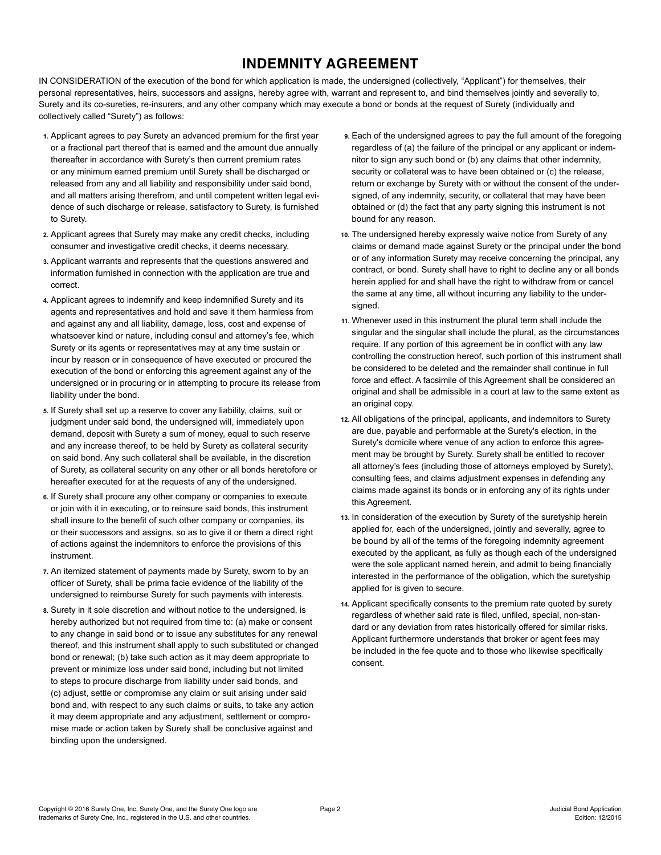# **INDEMNITY AGREEMENT**

IN CONSIDERATION of the execution of the bond for which application is made, the undersigned (collectively, "Applicant") for themselves, their personal representatives, heirs, successors and assigns, hereby agree with, warrant and represent to, and bind themselves jointly and severally to, Surety and its co-sureties, re-insurers, and any other company which may execute a bond or bonds at the request of Surety (individually and collectively called "Surety") as follows:

- **1.** Applicant agrees to pay Surety an advanced premium for the first year or a fractional part thereof that is earned and the amount due annually thereafter in accordance with Surety's then current premium rates or any minimum earned premium until Surety shall be discharged or released from any and all liability and responsibility under said bond, and all matters arising therefrom, and until competent written legal evidence of such discharge or release, satisfactory to Surety, is furnished to Surety.
- **2.** Applicant agrees that Surety may make any credit checks, including consumer and investigative credit checks, it deems necessary.
- **3.** Applicant warrants and represents that the questions answered and information furnished in connection with the application are true and correct.
- **4.** Applicant agrees to indemnify and keep indemnified Surety and its agents and representatives and hold and save it them harmless from and against any and all liability, damage, loss, cost and expense of whatsoever kind or nature, including consul and attorney's fee, which Surety or its agents or representatives may at any time sustain or incur by reason or in consequence of have executed or procured the execution of the bond or enforcing this agreement against any of the undersigned or in procuring or in attempting to procure its release from liability under the bond.
- **5.** If Surety shall set up a reserve to cover any liability, claims, suit or judgment under said bond, the undersigned will, immediately upon demand, deposit with Surety a sum of money, equal to such reserve and any increase thereof, to be held by Surety as collateral security on said bond. Any such collateral shall be available, in the discretion of Surety, as collateral security on any other or all bonds heretofore or hereafter executed for at the requests of any of the undersigned.
- **6.** If Surety shall procure any other company or companies to execute or join with it in executing, or to reinsure said bonds, this instrument shall insure to the benefit of such other company or companies, its or their successors and assigns, so as to give it or them a direct right of actions against the indemnitors to enforce the provisions of this instrument.
- **7.** An itemized statement of payments made by Surety, sworn to by an officer of Surety, shall be prima facie evidence of the liability of the undersigned to reimburse Surety for such payments with interests.
- **8.** Surety in it sole discretion and without notice to the undersigned, is hereby authorized but not required from time to: (a) make or consent to any change in said bond or to issue any substitutes for any renewal thereof, and this instrument shall apply to such substituted or changed bond or renewal; (b) take such action as it may deem appropriate to prevent or minimize loss under said bond, including but not limited to steps to procure discharge from liability under said bonds, and (c) adjust, settle or compromise any claim or suit arising under said bond and, with respect to any such claims or suits, to take any action it may deem appropriate and any adjustment, settlement or compromise made or action taken by Surety shall be conclusive against and binding upon the undersigned.
- **9.** Each of the undersigned agrees to pay the full amount of the foregoing regardless of (a) the failure of the principal or any applicant or indemnitor to sign any such bond or (b) any claims that other indemnity, security or collateral was to have been obtained or (c) the release. return or exchange by Surety with or without the consent of the undersigned, of any indemnity, security, or collateral that may have been obtained or (d) the fact that any party signing this instrument is not bound for any reason.
- **10.** The undersigned hereby expressly waive notice from Surety of any claims or demand made against Surety or the principal under the bond or of any information Surety may receive concerning the principal, any contract, or bond. Surety shall have to right to decline any or all bonds herein applied for and shall have the right to withdraw from or cancel the same at any time, all without incurring any liability to the undersigned.
- **11.** Whenever used in this instrument the plural term shall include the singular and the singular shall include the plural, as the circumstances require. If any portion of this agreement be in conflict with any law controlling the construction hereof, such portion of this instrument shall be considered to be deleted and the remainder shall continue in full force and effect. A facsimile of this Agreement shall be considered an original and shall be admissible in a court at law to the same extent as an original copy.
- **12.** All obligations of the principal, applicants, and indemnitors to Surety are due, payable and performable at the Surety's election, in the Surety's domicile where venue of any action to enforce this agreement may be brought by Surety. Surety shall be entitled to recover all attorney's fees (including those of attorneys employed by Surety), consulting fees, and claims adjustment expenses in defending any claims made against its bonds or in enforcing any of its rights under this Agreement.
- **13.** In consideration of the execution by Surety of the suretyship herein applied for, each of the undersigned, jointly and severally, agree to be bound by all of the terms of the foregoing indemnity agreement executed by the applicant, as fully as though each of the undersigned were the sole applicant named herein, and admit to being financially interested in the performance of the obligation, which the suretyship applied for is given to secure.
- **14.** Applicant specifically consents to the premium rate quoted by surety regardless of whether said rate is filed, unfiled, special, non-standard or any deviation from rates historically offered for similar risks. Applicant furthermore understands that broker or agent fees may be included in the fee quote and to those who likewise specifically consent.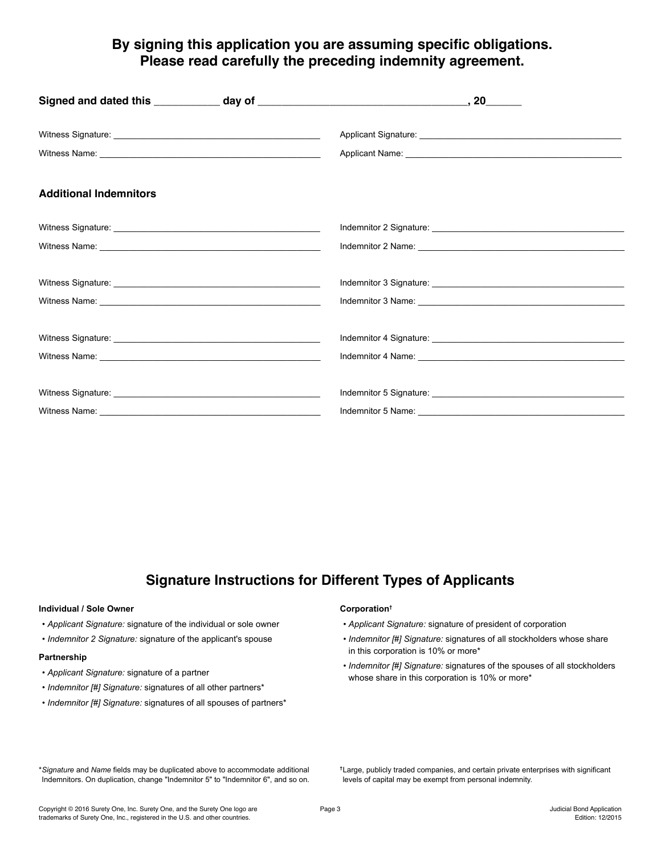## **By signing this application you are assuming specific obligations. Please read carefully the preceding indemnity agreement.**

# **Signature Instructions for Different Types of Applicants**

#### **Individual / Sole Owner**

- *Applicant Signature:* signature of the individual or sole owner
- *Indemnitor 2 Signature:* signature of the applicant's spouse

#### **Partnership**

- *Applicant Signature:* signature of a partner
- *Indemnitor [#] Signature:* signatures of all other partners\*
- *Indemnitor [#] Signature:* signatures of all spouses of partners\*

#### **Corporation†**

- *Applicant Signature:* signature of president of corporation
- *Indemnitor [#] Signature:* signatures of all stockholders whose share in this corporation is 10% or more\*
- *Indemnitor [#] Signature:* signatures of the spouses of all stockholders whose share in this corporation is 10% or more\*

\**Signature* and *Name* fields may be duplicated above to accommodate additional Indemnitors. On duplication, change "Indemnitor 5" to "Indemnitor 6", and so on. **†**Large, publicly traded companies, and certain private enterprises with significant levels of capital may be exempt from personal indemnity.